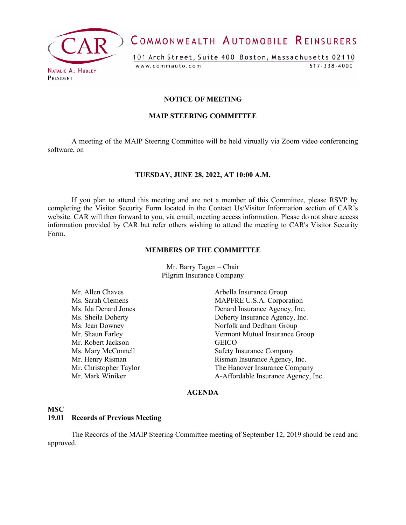

COMMONWEALTH AUTOMOBILE REINSURERS

101 Arch Street, Suite 400 Boston, Massachusetts 02110 www.commauto.com  $617 - 338 - 4000$ 

PRESIDENT

## **NOTICE OF MEETING**

## **MAIP STEERING COMMITTEE**

A meeting of the MAIP Steering Committee will be held virtually via Zoom video conferencing software, on

## **TUESDAY, JUNE 28, 2022, AT 10:00 A.M.**

If you plan to attend this meeting and are not a member of this Committee, please RSVP by completing the Visitor Security Form located in the Contact Us/Visitor Information section of CAR's website. CAR will then forward to you, via email, meeting access information. Please do not share access information provided by CAR but refer others wishing to attend the meeting to CAR's Visitor Security Form.

#### **MEMBERS OF THE COMMITTEE**

Mr. Barry Tagen – Chair Pilgrim Insurance Company

- Mr. Allen Chaves **Arbella Insurance Group** Ms. Sarah Clemens MAPFRE U.S.A. Corporation Ms. Ida Denard Jones Denard Insurance Agency, Inc. Ms. Sheila Doherty **Insurance Agency**, Inc. Ms. Jean Downey Norfolk and Dedham Group Mr. Shaun Farley Vermont Mutual Insurance Group Mr. Robert Jackson<br>
Ms. Mary McConnell<br>
Safety I Mr. Henry Risman **Mr.** Henry Risman Insurance Agency, Inc. Mr. Christopher Taylor The Hanover Insurance Company<br>Mr. Mark Winiker The Hanover Insurance Agency. I
	- Safety Insurance Company A-Affordable Insurance Agency, Inc.

## **AGENDA**

## **MSC**

## **19.01 Records of Previous Meeting**

The Records of the MAIP Steering Committee meeting of September 12, 2019 should be read and approved.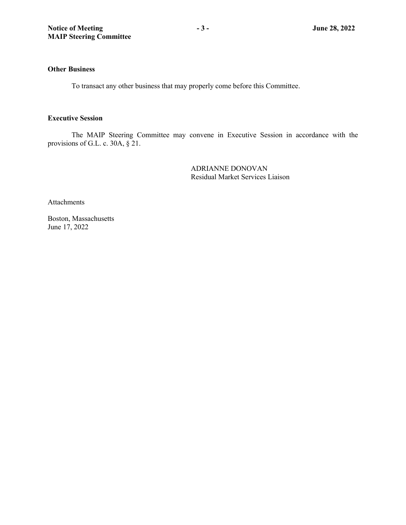## **Other Business**

To transact any other business that may properly come before this Committee.

## **Executive Session**

The MAIP Steering Committee may convene in Executive Session in accordance with the provisions of G.L. c. 30A, § 21.

> ADRIANNE DONOVAN Residual Market Services Liaison

**Attachments** 

Boston, Massachusetts June 14, 2022